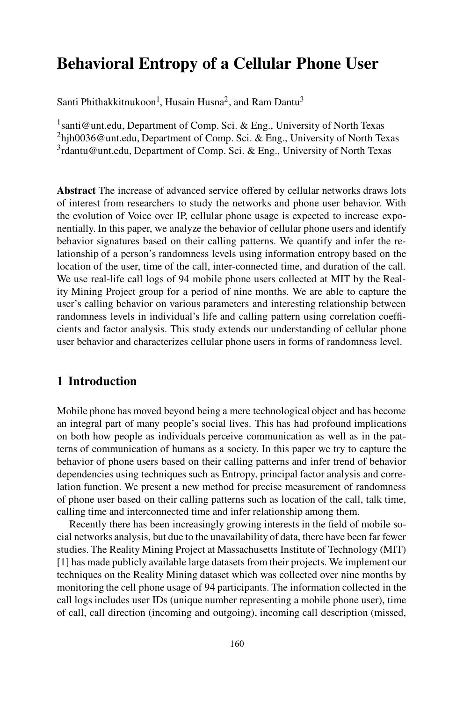# Behavioral Entropy of a Cellular Phone User

Santi Phithakkitnukoon<sup>1</sup>, Husain Husna<sup>2</sup>, and Ram Dantu<sup>3</sup>

<sup>1</sup>santi@unt.edu, Department of Comp. Sci. & Eng., University of North Texas  $2h$ jh0036@unt.edu, Department of Comp. Sci. & Eng., University of North Texas  $^3$ rdantu@unt.edu, Department of Comp. Sci. & Eng., University of North Texas

Abstract The increase of advanced service offered by cellular networks draws lots of interest from researchers to study the networks and phone user behavior. With the evolution of Voice over IP, cellular phone usage is expected to increase exponentially. In this paper, we analyze the behavior of cellular phone users and identify behavior signatures based on their calling patterns. We quantify and infer the relationship of a person's randomness levels using information entropy based on the location of the user, time of the call, inter-connected time, and duration of the call. We use real-life call logs of 94 mobile phone users collected at MIT by the Reality Mining Project group for a period of nine months. We are able to capture the user's calling behavior on various parameters and interesting relationship between randomness levels in individual's life and calling pattern using correlation coefficients and factor analysis. This study extends our understanding of cellular phone user behavior and characterizes cellular phone users in forms of randomness level.

# 1 Introduction

Mobile phone has moved beyond being a mere technological object and has become an integral part of many people's social lives. This has had profound implications on both how people as individuals perceive communication as well as in the patterns of communication of humans as a society. In this paper we try to capture the behavior of phone users based on their calling patterns and infer trend of behavior dependencies using techniques such as Entropy, principal factor analysis and correlation function. We present a new method for precise measurement of randomness of phone user based on their calling patterns such as location of the call, talk time, calling time and interconnected time and infer relationship among them.

Recently there has been increasingly growing interests in the field of mobile social networks analysis, but due to the unavailability of data, there have been far fewer studies. The Reality Mining Project at Massachusetts Institute of Technology (MIT) [1] has made publicly available large datasets from their projects. We implement our techniques on the Reality Mining dataset which was collected over nine months by monitoring the cell phone usage of 94 participants. The information collected in the call logs includes user IDs (unique number representing a mobile phone user), time of call, call direction (incoming and outgoing), incoming call description (missed,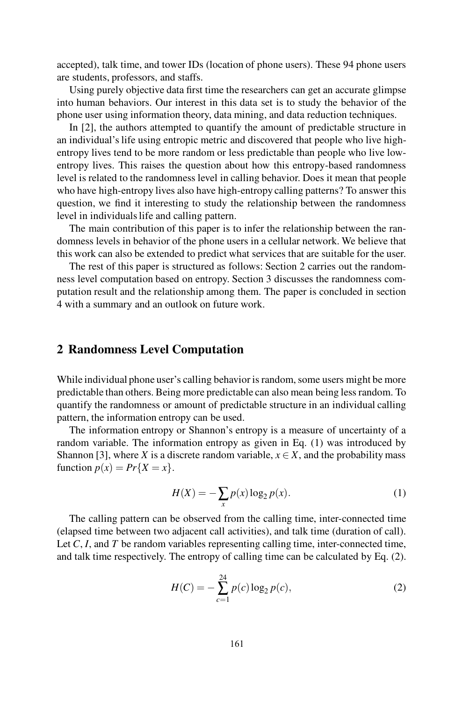accepted), talk time, and tower IDs (location of phone users). These 94 phone users are students, professors, and staffs.

Using purely objective data first time the researchers can get an accurate glimpse into human behaviors. Our interest in this data set is to study the behavior of the phone user using information theory, data mining, and data reduction techniques.

In [2], the authors attempted to quantify the amount of predictable structure in an individual's life using entropic metric and discovered that people who live highentropy lives tend to be more random or less predictable than people who live lowentropy lives. This raises the question about how this entropy-based randomness level is related to the randomness level in calling behavior. Does it mean that people who have high-entropy lives also have high-entropy calling patterns? To answer this question, we find it interesting to study the relationship between the randomness level in individuals life and calling pattern.

The main contribution of this paper is to infer the relationship between the randomness levels in behavior of the phone users in a cellular network. We believe that this work can also be extended to predict what services that are suitable for the user.

The rest of this paper is structured as follows: Section 2 carries out the randomness level computation based on entropy. Section 3 discusses the randomness computation result and the relationship among them. The paper is concluded in section 4 with a summary and an outlook on future work.

#### 2 Randomness Level Computation

While individual phone user's calling behavior is random, some users might be more predictable than others. Being more predictable can also mean being less random. To quantify the randomness or amount of predictable structure in an individual calling pattern, the information entropy can be used.

The information entropy or Shannon's entropy is a measure of uncertainty of a random variable. The information entropy as given in Eq. (1) was introduced by Shannon [3], where X is a discrete random variable,  $x \in X$ , and the probability mass function  $p(x) = Pr{X = x}$ .

$$
H(X) = -\sum_{x} p(x) \log_2 p(x).
$$
 (1)

The calling pattern can be observed from the calling time, inter-connected time (elapsed time between two adjacent call activities), and talk time (duration of call). Let  $C, I$ , and  $T$  be random variables representing calling time, inter-connected time, and talk time respectively. The entropy of calling time can be calculated by Eq. (2).

$$
H(C) = -\sum_{c=1}^{24} p(c) \log_2 p(c),
$$
 (2)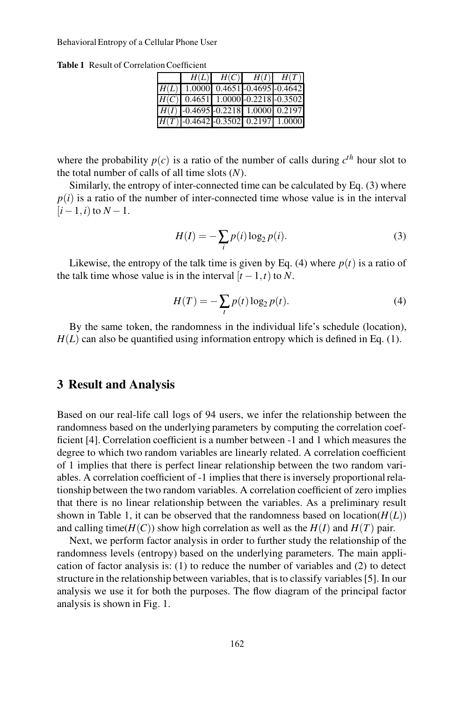Table 1 Result of Correlation Coefficient

|                                      |  | $H(L)$ $H(C)$ $H(I)$ $H(T)$ |
|--------------------------------------|--|-----------------------------|
| $H(L)$ 1.0000 0.4651 -0.4695 -0.4642 |  |                             |
| $H(C)$ 0.4651 1.0000 -0.2218 -0.3502 |  |                             |
| $H(I)$ -0.4695 -0.2218 1.0000 0.2197 |  |                             |
| $H(T)$ -0.4642 -0.3502 0.2197 1.0000 |  |                             |

where the probability  $p(c)$  is a ratio of the number of calls during  $c^{th}$  hour slot to the total number of calls of all time slots  $(N)$ .

Similarly, the entropy of inter-connected time can be calculated by Eq. (3) where  $p(i)$  is a ratio of the number of inter-connected time whose value is in the interval  $[i - 1, i)$  to  $N - 1$ .

$$
H(I) = -\sum_{i} p(i) \log_2 p(i).
$$
 (3)

Likewise, the entropy of the talk time is given by Eq. (4) where  $p(t)$  is a ratio of the talk time whose value is in the interval  $[t - 1, t)$  to N.

$$
H(T) = -\sum_{t} p(t) \log_2 p(t).
$$
 (4)

By the same token, the randomness in the individual life's schedule (location),  $H(L)$  can also be quantified using information entropy which is defined in Eq. (1).

### 3 Result and Analysis

Based on our real-life call logs of 94 users, we infer the relationship between the randomness based on the underlying parameters by computing the correlation coefficient [4]. Correlation coefficient is a number between -1 and 1 which measures the degree to which two random variables are linearly related. A correlation coefficient of 1 implies that there is perfect linear relationship between the two random variables. A correlation coefficient of -1 implies that there is inversely proportional relationship between the two random variables. A correlation coefficient of zero implies that there is no linear relationship between the variables. As a preliminary result shown in Table 1, it can be observed that the randomness based on location( $H(L)$ ) and calling time( $H(C)$ ) show high correlation as well as the  $H(I)$  and  $H(T)$  pair.

Next, we perform factor analysis in order to further study the relationship of the randomness levels (entropy) based on the underlying parameters. The main application of factor analysis is: (1) to reduce the number of variables and (2) to detect structure in the relationship between variables, that is to classify variables [5]. In our analysis we use it for both the purposes. The flow diagram of the principal factor analysis is shown in Fig. 1.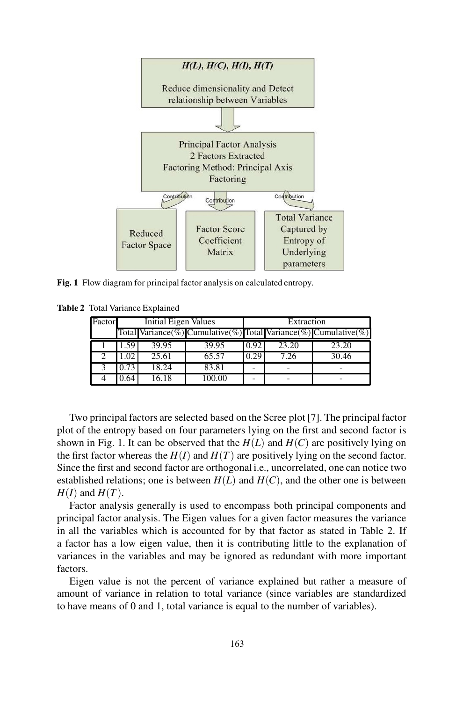

Fig. 1 Flow diagram for principal factor analysis on calculated entropy.

Table 2 Total Variance Explained

| Factor | Initial Eigen Values |       |                                                                 | Extraction |       |       |
|--------|----------------------|-------|-----------------------------------------------------------------|------------|-------|-------|
|        |                      |       | Total Variance(%) Cumulative(%) Total Variance(%) Cumulative(%) |            |       |       |
|        | $1.59 -$             | 39.95 | 39.95                                                           | 0.92       | 23.20 | 23.20 |
|        | .02                  | 25.61 | 65.57                                                           | 0.29       | 7.26  | 30.46 |
|        | 0.73                 | 18.24 | 83.81                                                           |            |       |       |
|        | 0.64                 | 16.18 | 100.00                                                          |            |       | -     |

Two principal factors are selected based on the Scree plot [7]. The principal factor plot of the entropy based on four parameters lying on the first and second factor is shown in Fig. 1. It can be observed that the  $H(L)$  and  $H(C)$  are positively lying on the first factor whereas the  $H(I)$  and  $H(T)$  are positively lying on the second factor. Since the first and second factor are orthogonal i.e., uncorrelated, one can notice two established relations; one is between  $H(L)$  and  $H(C)$ , and the other one is between  $H(I)$  and  $H(T)$ .

Factor analysis generally is used to encompass both principal components and principal factor analysis. The Eigen values for a given factor measures the variance in all the variables which is accounted for by that factor as stated in Table 2. If a factor has a low eigen value, then it is contributing little to the explanation of variances in the variables and may be ignored as redundant with more important factors.

Eigen value is not the percent of variance explained but rather a measure of amount of variance in relation to total variance (since variables are standardized to have means of 0 and 1, total variance is equal to the number of variables).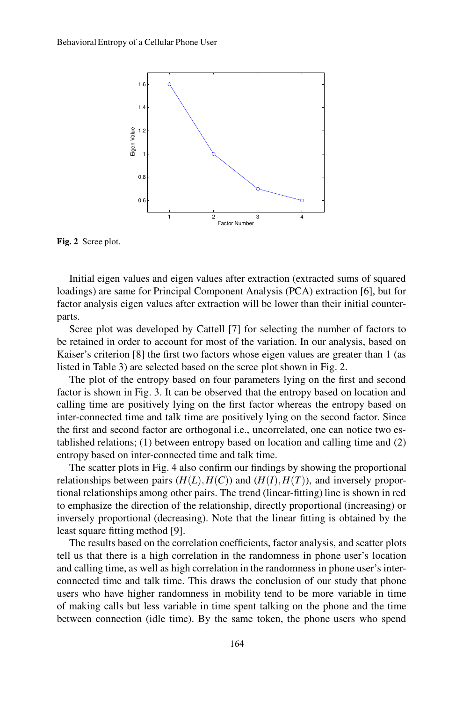

Fig. 2 Scree plot.

Initial eigen values and eigen values after extraction (extracted sums of squared loadings) are same for Principal Component Analysis (PCA) extraction [6], but for factor analysis eigen values after extraction will be lower than their initial counterparts.

Scree plot was developed by Cattell [7] for selecting the number of factors to be retained in order to account for most of the variation. In our analysis, based on Kaiser's criterion [8] the first two factors whose eigen values are greater than 1 (as listed in Table 3) are selected based on the scree plot shown in Fig. 2.

The plot of the entropy based on four parameters lying on the first and second factor is shown in Fig. 3. It can be observed that the entropy based on location and calling time are positively lying on the first factor whereas the entropy based on inter-connected time and talk time are positively lying on the second factor. Since the first and second factor are orthogonal i.e., uncorrelated, one can notice two established relations; (1) between entropy based on location and calling time and (2) entropy based on inter-connected time and talk time.

The scatter plots in Fig. 4 also confirm our findings by showing the proportional relationships between pairs  $(H(L), H(C))$  and  $(H(I), H(T))$ , and inversely proportional relationships among other pairs. The trend (linear-fitting) line is shown in red to emphasize the direction of the relationship, directly proportional (increasing) or inversely proportional (decreasing). Note that the linear fitting is obtained by the least square fitting method [9].

The results based on the correlation coefficients, factor analysis, and scatter plots tell us that there is a high correlation in the randomness in phone user's location and calling time, as well as high correlation in the randomness in phone user's interconnected time and talk time. This draws the conclusion of our study that phone users who have higher randomness in mobility tend to be more variable in time of making calls but less variable in time spent talking on the phone and the time between connection (idle time). By the same token, the phone users who spend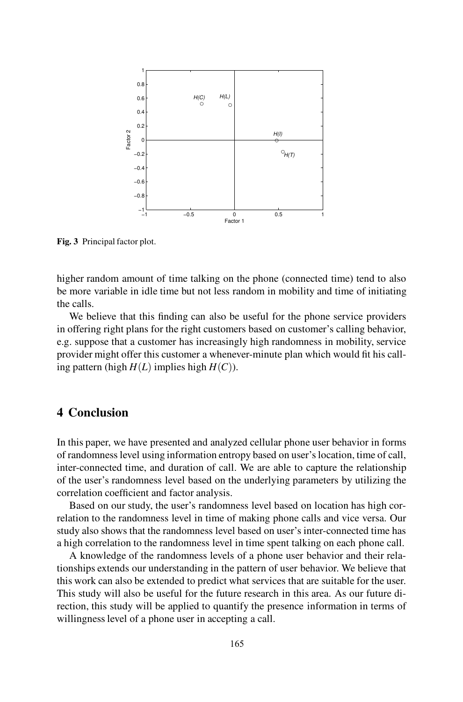

Fig. 3 Principal factor plot.

higher random amount of time talking on the phone (connected time) tend to also be more variable in idle time but not less random in mobility and time of initiating the calls.

We believe that this finding can also be useful for the phone service providers in offering right plans for the right customers based on customer's calling behavior, e.g. suppose that a customer has increasingly high randomness in mobility, service provider might offer this customer a whenever-minute plan which would fit his calling pattern (high  $H(L)$  implies high  $H(C)$ ).

### 4 Conclusion

In this paper, we have presented and analyzed cellular phone user behavior in forms of randomness level using information entropy based on user's location, time of call, inter-connected time, and duration of call. We are able to capture the relationship of the user's randomness level based on the underlying parameters by utilizing the correlation coefficient and factor analysis.

Based on our study, the user's randomness level based on location has high correlation to the randomness level in time of making phone calls and vice versa. Our study also shows that the randomness level based on user's inter-connected time has a high correlation to the randomness level in time spent talking on each phone call.

A knowledge of the randomness levels of a phone user behavior and their relationships extends our understanding in the pattern of user behavior. We believe that this work can also be extended to predict what services that are suitable for the user. This study will also be useful for the future research in this area. As our future direction, this study will be applied to quantify the presence information in terms of willingness level of a phone user in accepting a call.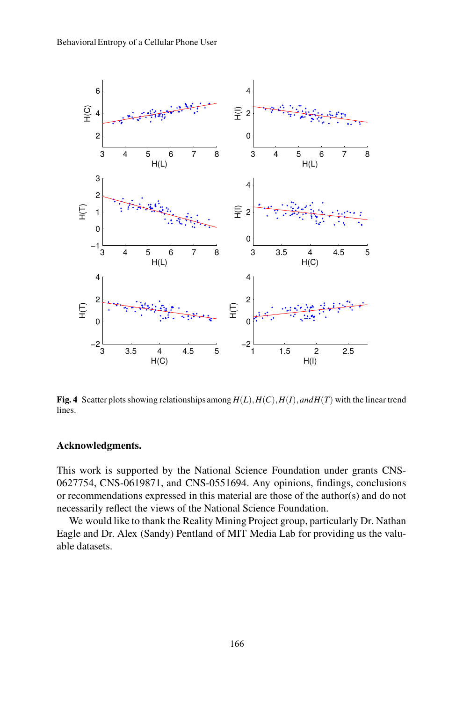

Fig. 4 Scatter plots showing relationships among  $H(L)$ ,  $H(C)$ ,  $H(I)$ , and  $H(T)$  with the linear trend lines.

#### Acknowledgments.

This work is supported by the National Science Foundation under grants CNS-0627754, CNS-0619871, and CNS-0551694. Any opinions, findings, conclusions or recommendations expressed in this material are those of the author(s) and do not necessarily reflect the views of the National Science Foundation.

We would like to thank the Reality Mining Project group, particularly Dr. Nathan Eagle and Dr. Alex (Sandy) Pentland of MIT Media Lab for providing us the valuable datasets.